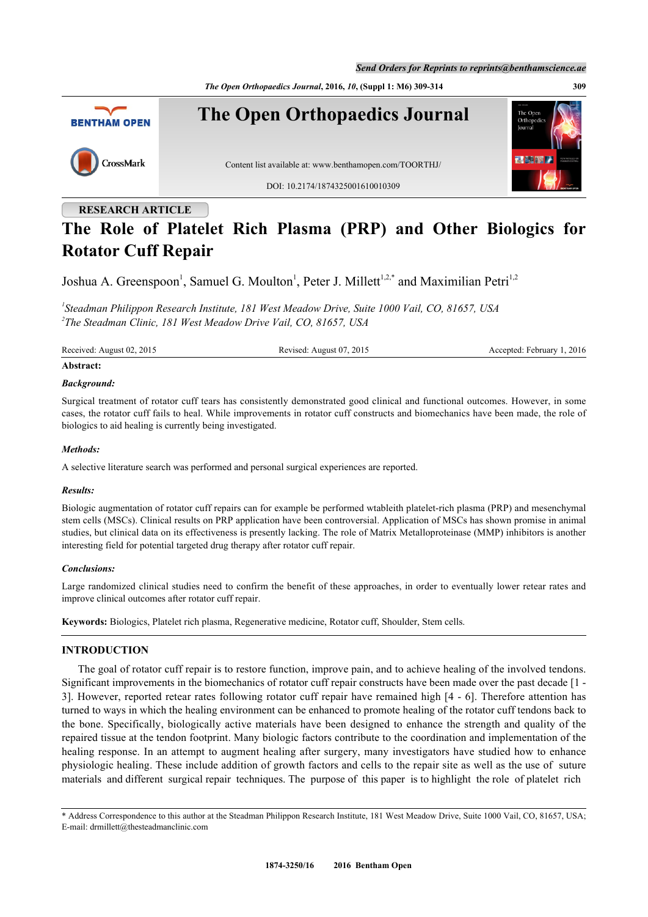*The Open Orthopaedics Journal***, 2016,** *10***, (Suppl 1: M6) 309-314 309**



# **RESEARCH ARTICLE**

# **The Role of Platelet Rich Plasma (PRP) and Other Biologics for Rotator Cuff Repair**

Joshua A. Greenspoon<sup>[1](#page-0-0)</sup>, Samuel G. Moulton<sup>1</sup>, Peter J. Millett<sup>[1,](#page-0-0)[2,](#page-0-1)[\\*](#page-0-2)</sup> and Maximilian Petri<sup>1,[2](#page-0-1)</sup>

<span id="page-0-1"></span><span id="page-0-0"></span>*1 Steadman Philippon Research Institute, 181 West Meadow Drive, Suite 1000 Vail, CO, 81657, USA 2 The Steadman Clinic, 181 West Meadow Drive Vail, CO, 81657, USA*

Received: August 02, 2015 Revised: August 07, 2015 Accepted: February 1, 2016

#### **Abstract:**

#### *Background:*

Surgical treatment of rotator cuff tears has consistently demonstrated good clinical and functional outcomes. However, in some cases, the rotator cuff fails to heal. While improvements in rotator cuff constructs and biomechanics have been made, the role of biologics to aid healing is currently being investigated.

#### *Methods:*

A selective literature search was performed and personal surgical experiences are reported.

#### *Results:*

Biologic augmentation of rotator cuff repairs can for example be performed wtableith platelet-rich plasma (PRP) and mesenchymal stem cells (MSCs). Clinical results on PRP application have been controversial. Application of MSCs has shown promise in animal studies, but clinical data on its effectiveness is presently lacking. The role of Matrix Metalloproteinase (MMP) inhibitors is another interesting field for potential targeted drug therapy after rotator cuff repair.

### *Conclusions:*

Large randomized clinical studies need to confirm the benefit of these approaches, in order to eventually lower retear rates and improve clinical outcomes after rotator cuff repair.

**Keywords:** Biologics, Platelet rich plasma, Regenerative medicine, Rotator cuff, Shoulder, Stem cells.

## **INTRODUCTION**

The goal of rotator cuff repair is to restore function, improve pain, and to achieve healing of the involved tendons. Significant improvements in the biomechanics of rotator cuff repair constructs have been made over the past decade [[1](#page-3-0) - [3\]](#page-3-1). However, reported retear rates following rotator cuff repair have remained high [[4](#page-3-2) - [6\]](#page-4-0). Therefore attention has turned to ways in which the healing environment can be enhanced to promote healing of the rotator cuff tendons back to the bone. Specifically, biologically active materials have been designed to enhance the strength and quality of the repaired tissue at the tendon footprint. Many biologic factors contribute to the coordination and implementation of the healing response. In an attempt to augment healing after surgery, many investigators have studied how to enhance physiologic healing. These include addition of growth factors and cells to the repair site as well as the use of suture materials and different surgical repair techniques. The purpose of this paper is to highlight the role of platelet rich

<span id="page-0-2"></span>\* Address Correspondence to this author at the Steadman Philippon Research Institute, 181 West Meadow Drive, Suite 1000 Vail, CO, 81657, USA; E-mail: [drmillett@thesteadmanclinic.com](mailto:drmillett@thesteadmanclinic.com)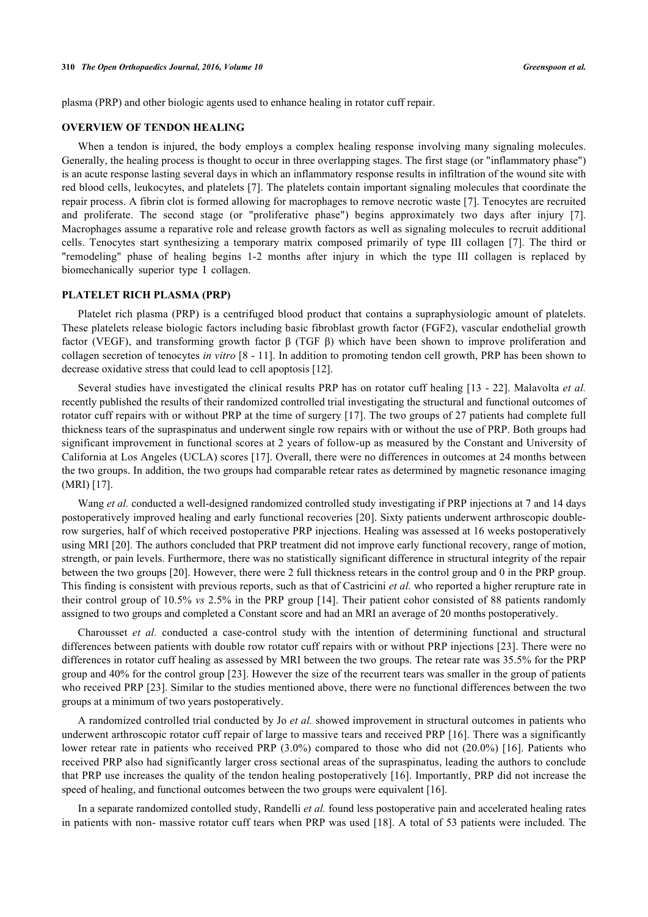plasma (PRP) and other biologic agents used to enhance healing in rotator cuff repair.

#### **OVERVIEW OF TENDON HEALING**

When a tendon is injured, the body employs a complex healing response involving many signaling molecules. Generally, the healing process is thought to occur in three overlapping stages. The first stage (or "inflammatory phase") is an acute response lasting several days in which an inflammatory response results in infiltration of the wound site with red blood cells, leukocytes, and platelets [[7](#page-4-1)]. The platelets contain important signaling molecules that coordinate the repair process. A fibrin clot is formed allowing for macrophages to remove necrotic waste [[7\]](#page-4-1). Tenocytes are recruited and proliferate. The second stage (or "proliferative phase") begins approximately two days after injury[[7\]](#page-4-1). Macrophages assume a reparative role and release growth factors as well as signaling molecules to recruit additional cells. Tenocytes start synthesizing a temporary matrix composed primarily of type III collagen[[7](#page-4-1)]. The third or "remodeling" phase of healing begins 1-2 months after injury in which the type III collagen is replaced by biomechanically superior type I collagen.

#### **PLATELET RICH PLASMA (PRP)**

Platelet rich plasma (PRP) is a centrifuged blood product that contains a supraphysiologic amount of platelets. These platelets release biologic factors including basic fibroblast growth factor (FGF2), vascular endothelial growth factor (VEGF), and transforming growth factor β (TGF β) which have been shown to improve proliferation and collagen secretion of tenocytes *in vitro* [[8](#page-4-2) - [11](#page-4-3)]. In addition to promoting tendon cell growth, PRP has been shown to decrease oxidative stress that could lead to cell apoptosis [\[12](#page-4-4)].

Several studies have investigated the clinical results PRP has on rotator cuff healing [\[13](#page-4-5) - [22](#page-4-6)]. Malavolta *et al.* recently published the results of their randomized controlled trial investigating the structural and functional outcomes of rotator cuff repairs with or without PRP at the time of surgery [[17](#page-4-7)]. The two groups of 27 patients had complete full thickness tears of the supraspinatus and underwent single row repairs with or without the use of PRP. Both groups had significant improvement in functional scores at 2 years of follow-up as measured by the Constant and University of California at Los Angeles (UCLA) scores [\[17](#page-4-7)]. Overall, there were no differences in outcomes at 24 months between the two groups. In addition, the two groups had comparable retear rates as determined by magnetic resonance imaging (MRI) [\[17](#page-4-7)].

Wang *et al.* conducted a well-designed randomized controlled study investigating if PRP injections at 7 and 14 days postoperatively improved healing and early functional recoveries [\[20\]](#page-4-8). Sixty patients underwent arthroscopic doublerow surgeries, half of which received postoperative PRP injections. Healing was assessed at 16 weeks postoperatively using MRI [\[20](#page-4-8)]. The authors concluded that PRP treatment did not improve early functional recovery, range of motion, strength, or pain levels. Furthermore, there was no statistically significant difference in structural integrity of the repair between the two groups [\[20](#page-4-8)]. However, there were 2 full thickness retears in the control group and 0 in the PRP group. This finding is consistent with previous reports, such as that of Castricini *et al.* who reported a higher rerupture rate in their control group of 10.5% *vs* 2.5% in the PRP group [[14](#page-4-9)]. Their patient cohor consisted of 88 patients randomly assigned to two groups and completed a Constant score and had an MRI an average of 20 months postoperatively.

Charousset *et al.* conducted a case-control study with the intention of determining functional and structural differences between patients with double row rotator cuff repairs with or without PRP injections [[23](#page-4-10)]. There were no differences in rotator cuff healing as assessed by MRI between the two groups. The retear rate was 35.5% for the PRP group and 40% for the control group [[23\]](#page-4-10). However the size of the recurrent tears was smaller in the group of patients who received PRP [\[23](#page-4-10)]. Similar to the studies mentioned above, there were no functional differences between the two groups at a minimum of two years postoperatively.

A randomized controlled trial conducted by Jo *et al.* showed improvement in structural outcomes in patients who underwent arthroscopic rotator cuff repair of large to massive tears and received PRP [[16\]](#page-4-11). There was a significantly lower retear rate in patients who received PRP (3.0%) compared to those who did not (20.0%) [\[16](#page-4-11)]. Patients who received PRP also had significantly larger cross sectional areas of the supraspinatus, leading the authors to conclude that PRP use increases the quality of the tendon healing postoperatively [\[16\]](#page-4-11). Importantly, PRP did not increase the speed of healing, and functional outcomes between the two groups were equivalent [\[16](#page-4-11)].

In a separate randomized contolled study, Randelli *et al.* found less postoperative pain and accelerated healing rates in patients with non- massive rotator cuff tears when PRP was used [[18\]](#page-4-12). A total of 53 patients were included. The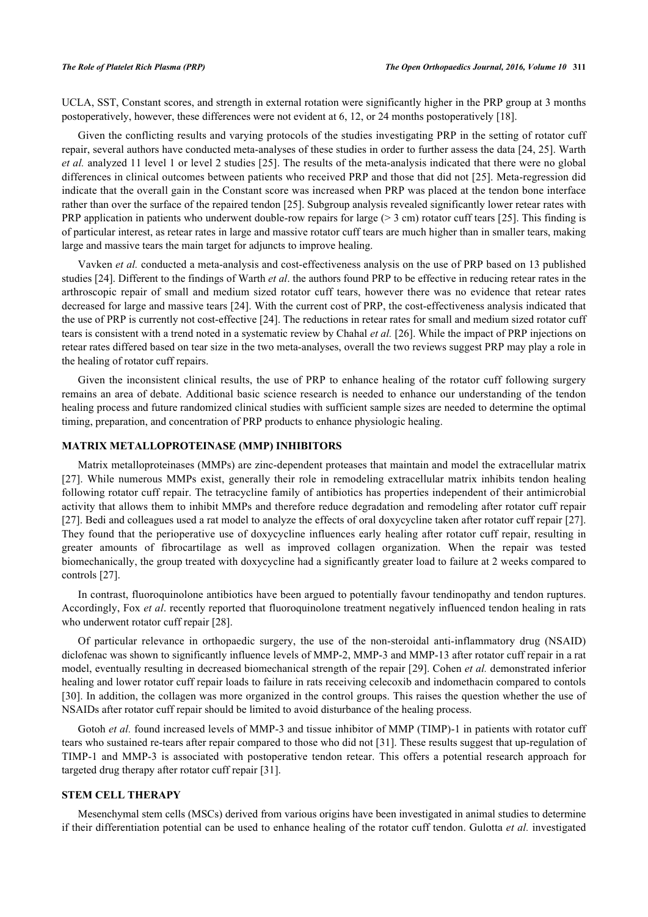UCLA, SST, Constant scores, and strength in external rotation were significantly higher in the PRP group at 3 months postoperatively, however, these differences were not evident at 6, 12, or 24 months postoperatively [\[18](#page-4-12)].

Given the conflicting results and varying protocols of the studies investigating PRP in the setting of rotator cuff repair, several authors have conducted meta-analyses of these studies in order to further assess the data [[24,](#page-4-13) [25\]](#page-5-0). Warth *et al.* analyzed 11 level 1 or level 2 studies [[25](#page-5-0)]. The results of the meta-analysis indicated that there were no global differences in clinical outcomes between patients who received PRP and those that did not [\[25](#page-5-0)]. Meta-regression did indicate that the overall gain in the Constant score was increased when PRP was placed at the tendon bone interface rather than over the surface of the repaired tendon [[25\]](#page-5-0). Subgroup analysis revealed significantly lower retear rates with PRP application in patients who underwent double-row repairs for large (> 3 cm) rotator cuff tears [[25](#page-5-0)]. This finding is of particular interest, as retear rates in large and massive rotator cuff tears are much higher than in smaller tears, making large and massive tears the main target for adjuncts to improve healing.

Vavken *et al.* conducted a meta-analysis and cost-effectiveness analysis on the use of PRP based on 13 published studies [\[24](#page-4-13)]. Different to the findings of Warth *et al*. the authors found PRP to be effective in reducing retear rates in the arthroscopic repair of small and medium sized rotator cuff tears, however there was no evidence that retear rates decreased for large and massive tears [\[24](#page-4-13)]. With the current cost of PRP, the cost-effectiveness analysis indicated that the use of PRP is currently not cost-effective [[24\]](#page-4-13). The reductions in retear rates for small and medium sized rotator cuff tears is consistent with a trend noted in a systematic review by Chahal *et al.* [\[26](#page-5-1)]. While the impact of PRP injections on retear rates differed based on tear size in the two meta-analyses, overall the two reviews suggest PRP may play a role in the healing of rotator cuff repairs.

Given the inconsistent clinical results, the use of PRP to enhance healing of the rotator cuff following surgery remains an area of debate. Additional basic science research is needed to enhance our understanding of the tendon healing process and future randomized clinical studies with sufficient sample sizes are needed to determine the optimal timing, preparation, and concentration of PRP products to enhance physiologic healing.

## **MATRIX METALLOPROTEINASE (MMP) INHIBITORS**

Matrix metalloproteinases (MMPs) are zinc-dependent proteases that maintain and model the extracellular matrix [\[27](#page-5-2)]. While numerous MMPs exist, generally their role in remodeling extracellular matrix inhibits tendon healing following rotator cuff repair. The tetracycline family of antibiotics has properties independent of their antimicrobial activity that allows them to inhibit MMPs and therefore reduce degradation and remodeling after rotator cuff repair [\[27](#page-5-2)]. Bedi and colleagues used a rat model to analyze the effects of oral doxycycline taken after rotator cuff repair [[27\]](#page-5-2). They found that the perioperative use of doxycycline influences early healing after rotator cuff repair, resulting in greater amounts of fibrocartilage as well as improved collagen organization. When the repair was tested biomechanically, the group treated with doxycycline had a significantly greater load to failure at 2 weeks compared to controls [[27\]](#page-5-2).

In contrast, fluoroquinolone antibiotics have been argued to potentially favour tendinopathy and tendon ruptures. Accordingly, Fox *et al*. recently reported that fluoroquinolone treatment negatively influenced tendon healing in rats who underwent rotator cuff repair [\[28](#page-5-3)].

Of particular relevance in orthopaedic surgery, the use of the non-steroidal anti-inflammatory drug (NSAID) diclofenac was shown to significantly influence levels of MMP-2, MMP-3 and MMP-13 after rotator cuff repair in a rat model, eventually resulting in decreased biomechanical strength of the repair [[29\]](#page-5-4). Cohen *et al.* demonstrated inferior healing and lower rotator cuff repair loads to failure in rats receiving celecoxib and indomethacin compared to contols [\[30](#page-5-5)]. In addition, the collagen was more organized in the control groups. This raises the question whether the use of NSAIDs after rotator cuff repair should be limited to avoid disturbance of the healing process.

Gotoh *et al.* found increased levels of MMP-3 and tissue inhibitor of MMP (TIMP)-1 in patients with rotator cuff tears who sustained re-tears after repair compared to those who did not [[31\]](#page-5-6). These results suggest that up-regulation of TIMP-1 and MMP-3 is associated with postoperative tendon retear. This offers a potential research approach for targeted drug therapy after rotator cuff repair [\[31](#page-5-6)].

## **STEM CELL THERAPY**

Mesenchymal stem cells (MSCs) derived from various origins have been investigated in animal studies to determine if their differentiation potential can be used to enhance healing of the rotator cuff tendon. Gulotta *et al.* investigated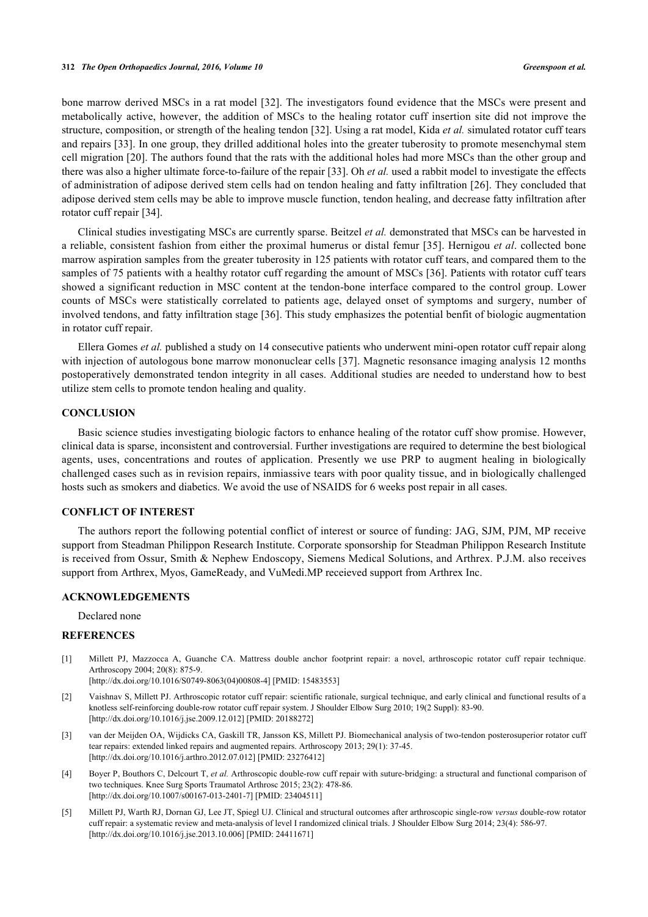bone marrow derived MSCs in a rat model [\[32](#page-5-7)]. The investigators found evidence that the MSCs were present and metabolically active, however, the addition of MSCs to the healing rotator cuff insertion site did not improve the structure, composition, or strength of the healing tendon [\[32](#page-5-7)]. Using a rat model, Kida *et al.* simulated rotator cuff tears and repairs [\[33\]](#page-5-8). In one group, they drilled additional holes into the greater tuberosity to promote mesenchymal stem cell migration [[20\]](#page-4-8). The authors found that the rats with the additional holes had more MSCs than the other group and there was also a higher ultimate force-to-failure of the repair [\[33](#page-5-8)]. Oh *et al.* used a rabbit model to investigate the effects of administration of adipose derived stem cells had on tendon healing and fatty infiltration [[26\]](#page-5-1). They concluded that adipose derived stem cells may be able to improve muscle function, tendon healing, and decrease fatty infiltration after rotator cuff repair [[34\]](#page-5-9).

Clinical studies investigating MSCs are currently sparse. Beitzel *et al.* demonstrated that MSCs can be harvested in a reliable, consistent fashion from either the proximal humerus or distal femur [\[35\]](#page-5-10). Hernigou *et al*. collected bone marrow aspiration samples from the greater tuberosity in 125 patients with rotator cuff tears, and compared them to the samples of 75 patients with a healthy rotator cuff regarding the amount of MSCs [[36](#page-5-11)]. Patients with rotator cuff tears showed a significant reduction in MSC content at the tendon-bone interface compared to the control group. Lower counts of MSCs were statistically correlated to patients age, delayed onset of symptoms and surgery, number of involved tendons, and fatty infiltration stage [\[36](#page-5-11)]. This study emphasizes the potential benfit of biologic augmentation in rotator cuff repair.

Ellera Gomes *et al.* published a study on 14 consecutive patients who underwent mini-open rotator cuff repair along with injection of autologous bone marrow mononuclear cells [[37\]](#page-5-12). Magnetic resonsance imaging analysis 12 months postoperatively demonstrated tendon integrity in all cases. Additional studies are needed to understand how to best utilize stem cells to promote tendon healing and quality.

#### **CONCLUSION**

Basic science studies investigating biologic factors to enhance healing of the rotator cuff show promise. However, clinical data is sparse, inconsistent and controversial. Further investigations are required to determine the best biological agents, uses, concentrations and routes of application. Presently we use PRP to augment healing in biologically challenged cases such as in revision repairs, inmiassive tears with poor quality tissue, and in biologically challenged hosts such as smokers and diabetics. We avoid the use of NSAIDS for 6 weeks post repair in all cases.

#### **CONFLICT OF INTEREST**

The authors report the following potential conflict of interest or source of funding: JAG, SJM, PJM, MP receive support from Steadman Philippon Research Institute. Corporate sponsorship for Steadman Philippon Research Institute is received from Ossur, Smith & Nephew Endoscopy, Siemens Medical Solutions, and Arthrex. P.J.M. also receives support from Arthrex, Myos, GameReady, and VuMedi.MP receieved support from Arthrex Inc.

### **ACKNOWLEDGEMENTS**

Declared none

## **REFERENCES**

<span id="page-3-0"></span>[1] Millett PJ, Mazzocca A, Guanche CA. Mattress double anchor footprint repair: a novel, arthroscopic rotator cuff repair technique. Arthroscopy 2004; 20(8): 875-9.

[\[http://dx.doi.org/10.1016/S0749-8063\(04\)00808-4\]](http://dx.doi.org/10.1016/S0749-8063(04)00808-4) [PMID: [15483553](http://www.ncbi.nlm.nih.gov/pubmed/15483553)]

- [2] Vaishnav S, Millett PJ. Arthroscopic rotator cuff repair: scientific rationale, surgical technique, and early clinical and functional results of a knotless self-reinforcing double-row rotator cuff repair system. J Shoulder Elbow Surg 2010; 19(2 Suppl): 83-90. [\[http://dx.doi.org/10.1016/j.jse.2009.12.012\]](http://dx.doi.org/10.1016/j.jse.2009.12.012) [PMID: [20188272](http://www.ncbi.nlm.nih.gov/pubmed/20188272)]
- <span id="page-3-1"></span>[3] van der Meijden OA, Wijdicks CA, Gaskill TR, Jansson KS, Millett PJ. Biomechanical analysis of two-tendon posterosuperior rotator cuff tear repairs: extended linked repairs and augmented repairs. Arthroscopy 2013; 29(1): 37-45. [\[http://dx.doi.org/10.1016/j.arthro.2012.07.012](http://dx.doi.org/10.1016/j.arthro.2012.07.012)] [PMID: [23276412\]](http://www.ncbi.nlm.nih.gov/pubmed/23276412)
- <span id="page-3-2"></span>[4] Boyer P, Bouthors C, Delcourt T, *et al.* Arthroscopic double-row cuff repair with suture-bridging: a structural and functional comparison of two techniques. Knee Surg Sports Traumatol Arthrosc 2015; 23(2): 478-86. [\[http://dx.doi.org/10.1007/s00167-013-2401-7\]](http://dx.doi.org/10.1007/s00167-013-2401-7) [PMID: [23404511](http://www.ncbi.nlm.nih.gov/pubmed/23404511)]
- [5] Millett PJ, Warth RJ, Dornan GJ, Lee JT, Spiegl UJ. Clinical and structural outcomes after arthroscopic single-row *versus* double-row rotator cuff repair: a systematic review and meta-analysis of level I randomized clinical trials. J Shoulder Elbow Surg 2014; 23(4): 586-97. [\[http://dx.doi.org/10.1016/j.jse.2013.10.006\]](http://dx.doi.org/10.1016/j.jse.2013.10.006) [PMID: [24411671](http://www.ncbi.nlm.nih.gov/pubmed/24411671)]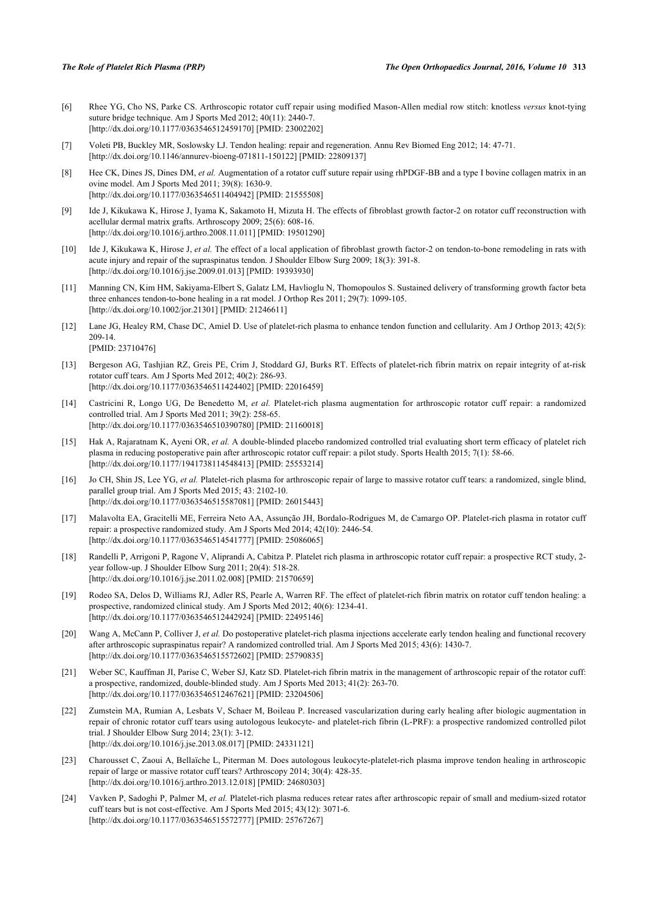- <span id="page-4-0"></span>[6] Rhee YG, Cho NS, Parke CS. Arthroscopic rotator cuff repair using modified Mason-Allen medial row stitch: knotless *versus* knot-tying suture bridge technique. Am J Sports Med 2012; 40(11): 2440-7. [\[http://dx.doi.org/10.1177/0363546512459170\]](http://dx.doi.org/10.1177/0363546512459170) [PMID: [23002202](http://www.ncbi.nlm.nih.gov/pubmed/23002202)]
- <span id="page-4-1"></span>[7] Voleti PB, Buckley MR, Soslowsky LJ. Tendon healing: repair and regeneration. Annu Rev Biomed Eng 2012; 14: 47-71. [\[http://dx.doi.org/10.1146/annurev-bioeng-071811-150122](http://dx.doi.org/10.1146/annurev-bioeng-071811-150122)] [PMID: [22809137\]](http://www.ncbi.nlm.nih.gov/pubmed/22809137)
- <span id="page-4-2"></span>[8] Hee CK, Dines JS, Dines DM, *et al.* Augmentation of a rotator cuff suture repair using rhPDGF-BB and a type I bovine collagen matrix in an ovine model. Am J Sports Med 2011; 39(8): 1630-9. [\[http://dx.doi.org/10.1177/0363546511404942\]](http://dx.doi.org/10.1177/0363546511404942) [PMID: [21555508](http://www.ncbi.nlm.nih.gov/pubmed/21555508)]
- [9] Ide J, Kikukawa K, Hirose J, Iyama K, Sakamoto H, Mizuta H. The effects of fibroblast growth factor-2 on rotator cuff reconstruction with acellular dermal matrix grafts. Arthroscopy 2009; 25(6): 608-16. [\[http://dx.doi.org/10.1016/j.arthro.2008.11.011](http://dx.doi.org/10.1016/j.arthro.2008.11.011)] [PMID: [19501290\]](http://www.ncbi.nlm.nih.gov/pubmed/19501290)
- [10] Ide J, Kikukawa K, Hirose J, *et al.* The effect of a local application of fibroblast growth factor-2 on tendon-to-bone remodeling in rats with acute injury and repair of the supraspinatus tendon. J Shoulder Elbow Surg 2009; 18(3): 391-8. [\[http://dx.doi.org/10.1016/j.jse.2009.01.013\]](http://dx.doi.org/10.1016/j.jse.2009.01.013) [PMID: [19393930](http://www.ncbi.nlm.nih.gov/pubmed/19393930)]
- <span id="page-4-3"></span>[11] Manning CN, Kim HM, Sakiyama-Elbert S, Galatz LM, Havlioglu N, Thomopoulos S. Sustained delivery of transforming growth factor beta three enhances tendon-to-bone healing in a rat model. J Orthop Res 2011; 29(7): 1099-105. [\[http://dx.doi.org/10.1002/jor.21301\]](http://dx.doi.org/10.1002/jor.21301) [PMID: [21246611](http://www.ncbi.nlm.nih.gov/pubmed/21246611)]
- <span id="page-4-4"></span>[12] Lane JG, Healey RM, Chase DC, Amiel D. Use of platelet-rich plasma to enhance tendon function and cellularity. Am J Orthop 2013; 42(5): 209-14. [PMID: [23710476\]](http://www.ncbi.nlm.nih.gov/pubmed/23710476)
- <span id="page-4-5"></span>[13] Bergeson AG, Tashjian RZ, Greis PE, Crim J, Stoddard GJ, Burks RT. Effects of platelet-rich fibrin matrix on repair integrity of at-risk rotator cuff tears. Am J Sports Med 2012; 40(2): 286-93. [\[http://dx.doi.org/10.1177/0363546511424402\]](http://dx.doi.org/10.1177/0363546511424402) [PMID: [22016459](http://www.ncbi.nlm.nih.gov/pubmed/22016459)]
- <span id="page-4-9"></span>[14] Castricini R, Longo UG, De Benedetto M, *et al.* Platelet-rich plasma augmentation for arthroscopic rotator cuff repair: a randomized controlled trial. Am J Sports Med 2011; 39(2): 258-65. [\[http://dx.doi.org/10.1177/0363546510390780\]](http://dx.doi.org/10.1177/0363546510390780) [PMID: [21160018](http://www.ncbi.nlm.nih.gov/pubmed/21160018)]
- [15] Hak A, Rajaratnam K, Ayeni OR, *et al.* A double-blinded placebo randomized controlled trial evaluating short term efficacy of platelet rich plasma in reducing postoperative pain after arthroscopic rotator cuff repair: a pilot study. Sports Health 2015; 7(1): 58-66. [\[http://dx.doi.org/10.1177/1941738114548413\]](http://dx.doi.org/10.1177/1941738114548413) [PMID: [25553214](http://www.ncbi.nlm.nih.gov/pubmed/25553214)]
- <span id="page-4-11"></span>[16] Jo CH, Shin JS, Lee YG, *et al.* Platelet-rich plasma for arthroscopic repair of large to massive rotator cuff tears: a randomized, single blind, parallel group trial. Am J Sports Med 2015; 43: 2102-10. [\[http://dx.doi.org/10.1177/0363546515587081\]](http://dx.doi.org/10.1177/0363546515587081) [PMID: [26015443](http://www.ncbi.nlm.nih.gov/pubmed/26015443)]
- <span id="page-4-7"></span>[17] Malavolta EA, Gracitelli ME, Ferreira Neto AA, Assunção JH, Bordalo-Rodrigues M, de Camargo OP. Platelet-rich plasma in rotator cuff repair: a prospective randomized study. Am J Sports Med 2014; 42(10): 2446-54. [\[http://dx.doi.org/10.1177/0363546514541777\]](http://dx.doi.org/10.1177/0363546514541777) [PMID: [25086065](http://www.ncbi.nlm.nih.gov/pubmed/25086065)]
- <span id="page-4-12"></span>[18] Randelli P, Arrigoni P, Ragone V, Aliprandi A, Cabitza P. Platelet rich plasma in arthroscopic rotator cuff repair: a prospective RCT study, 2 year follow-up. J Shoulder Elbow Surg 2011; 20(4): 518-28. [\[http://dx.doi.org/10.1016/j.jse.2011.02.008\]](http://dx.doi.org/10.1016/j.jse.2011.02.008) [PMID: [21570659](http://www.ncbi.nlm.nih.gov/pubmed/21570659)]
- [19] Rodeo SA, Delos D, Williams RJ, Adler RS, Pearle A, Warren RF. The effect of platelet-rich fibrin matrix on rotator cuff tendon healing: a prospective, randomized clinical study. Am J Sports Med 2012; 40(6): 1234-41. [\[http://dx.doi.org/10.1177/0363546512442924\]](http://dx.doi.org/10.1177/0363546512442924) [PMID: [22495146](http://www.ncbi.nlm.nih.gov/pubmed/22495146)]
- <span id="page-4-8"></span>[20] Wang A, McCann P, Colliver J, *et al.* Do postoperative platelet-rich plasma injections accelerate early tendon healing and functional recovery after arthroscopic supraspinatus repair? A randomized controlled trial. Am J Sports Med 2015; 43(6): 1430-7. [\[http://dx.doi.org/10.1177/0363546515572602\]](http://dx.doi.org/10.1177/0363546515572602) [PMID: [25790835](http://www.ncbi.nlm.nih.gov/pubmed/25790835)]
- [21] Weber SC, Kauffman JI, Parise C, Weber SJ, Katz SD. Platelet-rich fibrin matrix in the management of arthroscopic repair of the rotator cuff: a prospective, randomized, double-blinded study. Am J Sports Med 2013; 41(2): 263-70. [\[http://dx.doi.org/10.1177/0363546512467621\]](http://dx.doi.org/10.1177/0363546512467621) [PMID: [23204506](http://www.ncbi.nlm.nih.gov/pubmed/23204506)]
- <span id="page-4-6"></span>[22] Zumstein MA, Rumian A, Lesbats V, Schaer M, Boileau P. Increased vascularization during early healing after biologic augmentation in repair of chronic rotator cuff tears using autologous leukocyte- and platelet-rich fibrin (L-PRF): a prospective randomized controlled pilot trial. J Shoulder Elbow Surg 2014; 23(1): 3-12. [\[http://dx.doi.org/10.1016/j.jse.2013.08.017\]](http://dx.doi.org/10.1016/j.jse.2013.08.017) [PMID: [24331121](http://www.ncbi.nlm.nih.gov/pubmed/24331121)]
- <span id="page-4-10"></span>[23] Charousset C, Zaoui A, Bellaïche L, Piterman M. Does autologous leukocyte-platelet-rich plasma improve tendon healing in arthroscopic repair of large or massive rotator cuff tears? Arthroscopy 2014; 30(4): 428-35. [\[http://dx.doi.org/10.1016/j.arthro.2013.12.018](http://dx.doi.org/10.1016/j.arthro.2013.12.018)] [PMID: [24680303\]](http://www.ncbi.nlm.nih.gov/pubmed/24680303)
- <span id="page-4-13"></span>[24] Vavken P, Sadoghi P, Palmer M, *et al.* Platelet-rich plasma reduces retear rates after arthroscopic repair of small and medium-sized rotator cuff tears but is not cost-effective. Am J Sports Med 2015; 43(12): 3071-6. [\[http://dx.doi.org/10.1177/0363546515572777\]](http://dx.doi.org/10.1177/0363546515572777) [PMID: [25767267](http://www.ncbi.nlm.nih.gov/pubmed/25767267)]